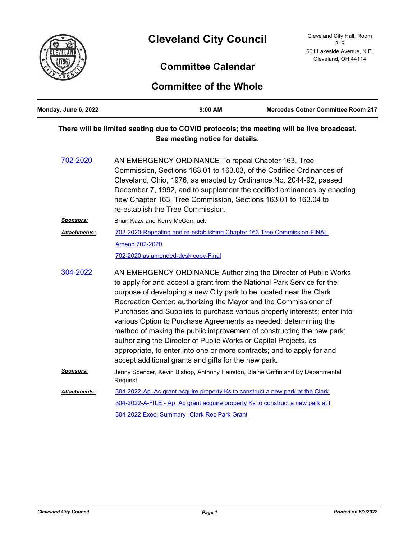

## **Committee Calendar**

## **Committee of the Whole**

| Monday, June 6, 2022 | $9:00$ AM                                                                                                                                                                                                                                                                                                                                                                                                                                                                                                                                                                                                                                                                                                           | <b>Mercedes Cotner Committee Room 217</b> |
|----------------------|---------------------------------------------------------------------------------------------------------------------------------------------------------------------------------------------------------------------------------------------------------------------------------------------------------------------------------------------------------------------------------------------------------------------------------------------------------------------------------------------------------------------------------------------------------------------------------------------------------------------------------------------------------------------------------------------------------------------|-------------------------------------------|
|                      | There will be limited seating due to COVID protocols; the meeting will be live broadcast.<br>See meeting notice for details.                                                                                                                                                                                                                                                                                                                                                                                                                                                                                                                                                                                        |                                           |
| 702-2020             | AN EMERGENCY ORDINANCE To repeal Chapter 163, Tree<br>Commission, Sections 163.01 to 163.03, of the Codified Ordinances of<br>Cleveland, Ohio, 1976, as enacted by Ordinance No. 2044-92, passed<br>December 7, 1992, and to supplement the codified ordinances by enacting<br>new Chapter 163, Tree Commission, Sections 163.01 to 163.04 to<br>re-establish the Tree Commission.                                                                                                                                                                                                                                                                                                                                  |                                           |
| <u>Sponsors:</u>     | Brian Kazy and Kerry McCormack                                                                                                                                                                                                                                                                                                                                                                                                                                                                                                                                                                                                                                                                                      |                                           |
| <b>Attachments:</b>  | 702-2020-Repealing and re-establishing Chapter 163 Tree Commission-FINAL<br>Amend 702-2020<br>702-2020 as amended-desk copy-Final                                                                                                                                                                                                                                                                                                                                                                                                                                                                                                                                                                                   |                                           |
| 304-2022             | AN EMERGENCY ORDINANCE Authorizing the Director of Public Works<br>to apply for and accept a grant from the National Park Service for the<br>purpose of developing a new City park to be located near the Clark<br>Recreation Center; authorizing the Mayor and the Commissioner of<br>Purchases and Supplies to purchase various property interests; enter into<br>various Option to Purchase Agreements as needed; determining the<br>method of making the public improvement of constructing the new park;<br>authorizing the Director of Public Works or Capital Projects, as<br>appropriate, to enter into one or more contracts; and to apply for and<br>accept additional grants and gifts for the new park. |                                           |
| <u>Sponsors:</u>     | Jenny Spencer, Kevin Bishop, Anthony Hairston, Blaine Griffin and By Departmental<br>Request                                                                                                                                                                                                                                                                                                                                                                                                                                                                                                                                                                                                                        |                                           |
| <b>Attachments:</b>  | 304-2022-Ap Ac grant acquire property Ks to construct a new park at the Clark                                                                                                                                                                                                                                                                                                                                                                                                                                                                                                                                                                                                                                       |                                           |
|                      | 304-2022-A-FILE - Ap Ac grant acquire property Ks to construct a new park at 1                                                                                                                                                                                                                                                                                                                                                                                                                                                                                                                                                                                                                                      |                                           |
|                      | 304-2022 Exec. Summary - Clark Rec Park Grant                                                                                                                                                                                                                                                                                                                                                                                                                                                                                                                                                                                                                                                                       |                                           |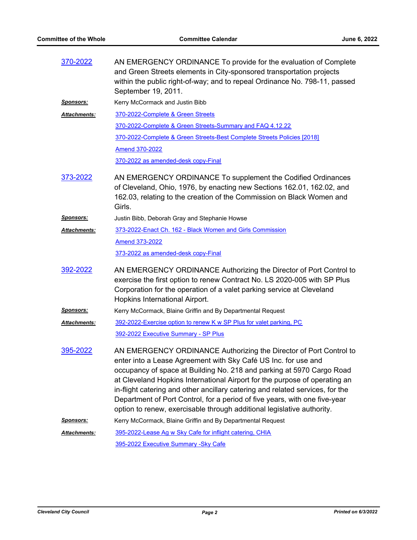| 370-2022            | AN EMERGENCY ORDINANCE To provide for the evaluation of Complete<br>and Green Streets elements in City-sponsored transportation projects<br>within the public right-of-way; and to repeal Ordinance No. 798-11, passed<br>September 19, 2011.                                                                                                                                                                                                                                                                                        |
|---------------------|--------------------------------------------------------------------------------------------------------------------------------------------------------------------------------------------------------------------------------------------------------------------------------------------------------------------------------------------------------------------------------------------------------------------------------------------------------------------------------------------------------------------------------------|
| <u>Sponsors:</u>    | Kerry McCormack and Justin Bibb                                                                                                                                                                                                                                                                                                                                                                                                                                                                                                      |
| <b>Attachments:</b> | 370-2022-Complete & Green Streets                                                                                                                                                                                                                                                                                                                                                                                                                                                                                                    |
|                     | 370-2022-Complete & Green Streets-Summary and FAQ 4.12.22                                                                                                                                                                                                                                                                                                                                                                                                                                                                            |
|                     | 370-2022-Complete & Green Streets-Best Complete Streets Policies [2018]                                                                                                                                                                                                                                                                                                                                                                                                                                                              |
|                     | <b>Amend 370-2022</b>                                                                                                                                                                                                                                                                                                                                                                                                                                                                                                                |
|                     | 370-2022 as amended-desk copy-Final                                                                                                                                                                                                                                                                                                                                                                                                                                                                                                  |
| 373-2022            | AN EMERGENCY ORDINANCE To supplement the Codified Ordinances<br>of Cleveland, Ohio, 1976, by enacting new Sections 162.01, 162.02, and<br>162.03, relating to the creation of the Commission on Black Women and<br>Girls.                                                                                                                                                                                                                                                                                                            |
| <u>Sponsors:</u>    | Justin Bibb, Deborah Gray and Stephanie Howse                                                                                                                                                                                                                                                                                                                                                                                                                                                                                        |
| <b>Attachments:</b> | 373-2022-Enact Ch. 162 - Black Women and Girls Commission                                                                                                                                                                                                                                                                                                                                                                                                                                                                            |
|                     | <b>Amend 373-2022</b>                                                                                                                                                                                                                                                                                                                                                                                                                                                                                                                |
|                     | 373-2022 as amended-desk copy-Final                                                                                                                                                                                                                                                                                                                                                                                                                                                                                                  |
| 392-2022            | AN EMERGENCY ORDINANCE Authorizing the Director of Port Control to<br>exercise the first option to renew Contract No. LS 2020-005 with SP Plus<br>Corporation for the operation of a valet parking service at Cleveland<br>Hopkins International Airport.                                                                                                                                                                                                                                                                            |
| Sponsors:           | Kerry McCormack, Blaine Griffin and By Departmental Request                                                                                                                                                                                                                                                                                                                                                                                                                                                                          |
| Attachments:        | 392-2022-Exercise option to renew K w SP Plus for valet parking, PC                                                                                                                                                                                                                                                                                                                                                                                                                                                                  |
|                     | 392-2022 Executive Summary - SP Plus                                                                                                                                                                                                                                                                                                                                                                                                                                                                                                 |
| 395-2022            | AN EMERGENCY ORDINANCE Authorizing the Director of Port Control to<br>enter into a Lease Agreement with Sky Café US Inc. for use and<br>occupancy of space at Building No. 218 and parking at 5970 Cargo Road<br>at Cleveland Hopkins International Airport for the purpose of operating an<br>in-flight catering and other ancillary catering and related services, for the<br>Department of Port Control, for a period of five years, with one five-year<br>option to renew, exercisable through additional legislative authority. |
| <b>Sponsors:</b>    | Kerry McCormack, Blaine Griffin and By Departmental Request                                                                                                                                                                                                                                                                                                                                                                                                                                                                          |
| Attachments:        | 395-2022-Lease Ag w Sky Cafe for inflight catering, CHIA                                                                                                                                                                                                                                                                                                                                                                                                                                                                             |
|                     | 395-2022 Executive Summary - Sky Cafe                                                                                                                                                                                                                                                                                                                                                                                                                                                                                                |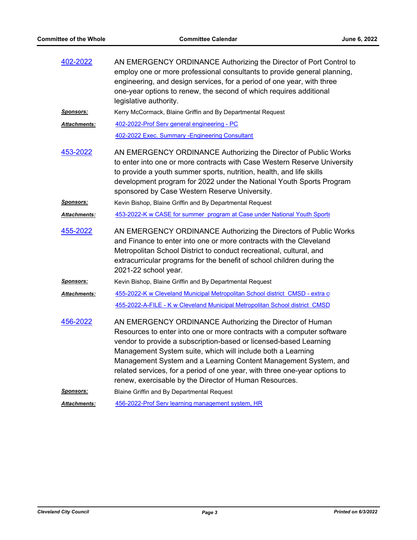| 402-2022             | AN EMERGENCY ORDINANCE Authorizing the Director of Port Control to<br>employ one or more professional consultants to provide general planning,<br>engineering, and design services, for a period of one year, with three<br>one-year options to renew, the second of which requires additional<br>legislative authority.                                                                                                                                                          |
|----------------------|-----------------------------------------------------------------------------------------------------------------------------------------------------------------------------------------------------------------------------------------------------------------------------------------------------------------------------------------------------------------------------------------------------------------------------------------------------------------------------------|
| <u>Sponsors:</u>     | Kerry McCormack, Blaine Griffin and By Departmental Request                                                                                                                                                                                                                                                                                                                                                                                                                       |
| <u> Attachments:</u> | 402-2022-Prof Serv general engineering - PC                                                                                                                                                                                                                                                                                                                                                                                                                                       |
|                      | 402-2022 Exec. Summary - Engineering Consultant                                                                                                                                                                                                                                                                                                                                                                                                                                   |
| 453-2022             | AN EMERGENCY ORDINANCE Authorizing the Director of Public Works<br>to enter into one or more contracts with Case Western Reserve University<br>to provide a youth summer sports, nutrition, health, and life skills<br>development program for 2022 under the National Youth Sports Program<br>sponsored by Case Western Reserve University.                                                                                                                                      |
| <u>Sponsors:</u>     | Kevin Bishop, Blaine Griffin and By Departmental Request                                                                                                                                                                                                                                                                                                                                                                                                                          |
| <u> Attachments:</u> | 453-2022-K w CASE for summer program at Case under National Youth Sports                                                                                                                                                                                                                                                                                                                                                                                                          |
| 455-2022             | AN EMERGENCY ORDINANCE Authorizing the Directors of Public Works<br>and Finance to enter into one or more contracts with the Cleveland<br>Metropolitan School District to conduct recreational, cultural, and<br>extracurricular programs for the benefit of school children during the<br>2021-22 school year.                                                                                                                                                                   |
| <b>Sponsors:</b>     | Kevin Bishop, Blaine Griffin and By Departmental Request                                                                                                                                                                                                                                                                                                                                                                                                                          |
| <b>Attachments:</b>  | 455-2022-K w Cleveland Municipal Metropolitan School district CMSD - extra c                                                                                                                                                                                                                                                                                                                                                                                                      |
|                      | 455-2022-A-FILE - K w Cleveland Municipal Metropolitan School district CMSD                                                                                                                                                                                                                                                                                                                                                                                                       |
| 456-2022             | AN EMERGENCY ORDINANCE Authorizing the Director of Human<br>Resources to enter into one or more contracts with a computer software<br>vendor to provide a subscription-based or licensed-based Learning<br>Management System suite, which will include both a Learning<br>Management System and a Learning Content Management System, and<br>related services, for a period of one year, with three one-year options to<br>renew, exercisable by the Director of Human Resources. |
| <u>Sponsors:</u>     | Blaine Griffin and By Departmental Request                                                                                                                                                                                                                                                                                                                                                                                                                                        |
| <b>Attachments:</b>  | 456-2022-Prof Serv learning management system, HR                                                                                                                                                                                                                                                                                                                                                                                                                                 |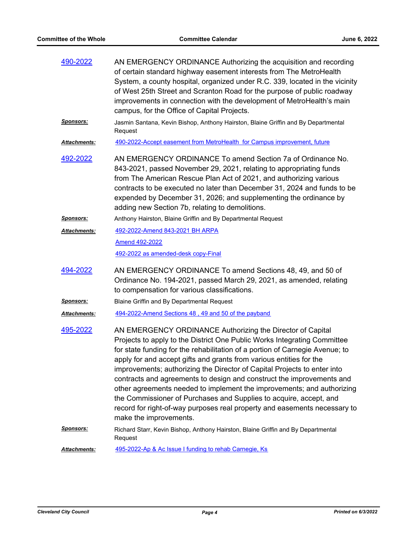| 490-2022             | AN EMERGENCY ORDINANCE Authorizing the acquisition and recording<br>of certain standard highway easement interests from The MetroHealth<br>System, a county hospital, organized under R.C. 339, located in the vicinity<br>of West 25th Street and Scranton Road for the purpose of public roadway<br>improvements in connection with the development of MetroHealth's main<br>campus, for the Office of Capital Projects.                                                                                                                                                                                                                                                                                |
|----------------------|-----------------------------------------------------------------------------------------------------------------------------------------------------------------------------------------------------------------------------------------------------------------------------------------------------------------------------------------------------------------------------------------------------------------------------------------------------------------------------------------------------------------------------------------------------------------------------------------------------------------------------------------------------------------------------------------------------------|
| <u>Sponsors:</u>     | Jasmin Santana, Kevin Bishop, Anthony Hairston, Blaine Griffin and By Departmental<br>Request                                                                                                                                                                                                                                                                                                                                                                                                                                                                                                                                                                                                             |
| <u> Attachments:</u> | 490-2022-Accept easement from MetroHealth for Campus improvement, future                                                                                                                                                                                                                                                                                                                                                                                                                                                                                                                                                                                                                                  |
| 492-2022             | AN EMERGENCY ORDINANCE To amend Section 7a of Ordinance No.<br>843-2021, passed November 29, 2021, relating to appropriating funds<br>from The American Rescue Plan Act of 2021, and authorizing various<br>contracts to be executed no later than December 31, 2024 and funds to be<br>expended by December 31, 2026; and supplementing the ordinance by<br>adding new Section 7b, relating to demolitions.                                                                                                                                                                                                                                                                                              |
| <u>Sponsors:</u>     | Anthony Hairston, Blaine Griffin and By Departmental Request                                                                                                                                                                                                                                                                                                                                                                                                                                                                                                                                                                                                                                              |
| <b>Attachments:</b>  | 492-2022-Amend 843-2021 BH ARPA                                                                                                                                                                                                                                                                                                                                                                                                                                                                                                                                                                                                                                                                           |
|                      | Amend 492-2022                                                                                                                                                                                                                                                                                                                                                                                                                                                                                                                                                                                                                                                                                            |
|                      | 492-2022 as amended-desk copy-Final                                                                                                                                                                                                                                                                                                                                                                                                                                                                                                                                                                                                                                                                       |
| 494-2022             | AN EMERGENCY ORDINANCE To amend Sections 48, 49, and 50 of<br>Ordinance No. 194-2021, passed March 29, 2021, as amended, relating<br>to compensation for various classifications.                                                                                                                                                                                                                                                                                                                                                                                                                                                                                                                         |
| <u>Sponsors:</u>     | Blaine Griffin and By Departmental Request                                                                                                                                                                                                                                                                                                                                                                                                                                                                                                                                                                                                                                                                |
| Attachments:         | 494-2022-Amend Sections 48, 49 and 50 of the payband                                                                                                                                                                                                                                                                                                                                                                                                                                                                                                                                                                                                                                                      |
| 495-2022             | AN EMERGENCY ORDINANCE Authorizing the Director of Capital<br>Projects to apply to the District One Public Works Integrating Committee<br>for state funding for the rehabilitation of a portion of Carnegie Avenue; to<br>apply for and accept gifts and grants from various entities for the<br>improvements; authorizing the Director of Capital Projects to enter into<br>contracts and agreements to design and construct the improvements and<br>other agreements needed to implement the improvements; and authorizing<br>the Commissioner of Purchases and Supplies to acquire, accept, and<br>record for right-of-way purposes real property and easements necessary to<br>make the improvements. |
| <u>Sponsors:</u>     | Richard Starr, Kevin Bishop, Anthony Hairston, Blaine Griffin and By Departmental<br>Request                                                                                                                                                                                                                                                                                                                                                                                                                                                                                                                                                                                                              |
| Attachments:         | 495-2022-Ap & Ac Issue I funding to rehab Carnegie, Ks                                                                                                                                                                                                                                                                                                                                                                                                                                                                                                                                                                                                                                                    |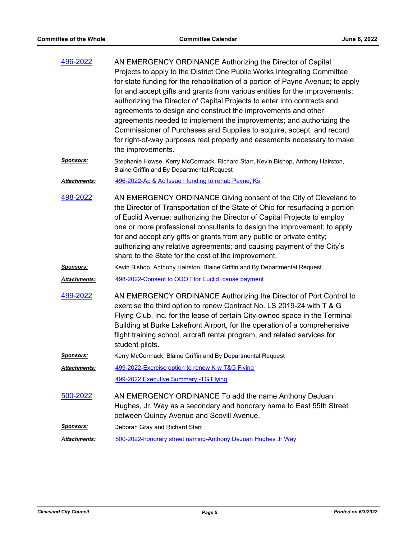| 496-2022             | AN EMERGENCY ORDINANCE Authorizing the Director of Capital<br>Projects to apply to the District One Public Works Integrating Committee<br>for state funding for the rehabilitation of a portion of Payne Avenue; to apply<br>for and accept gifts and grants from various entities for the improvements;<br>authorizing the Director of Capital Projects to enter into contracts and<br>agreements to design and construct the improvements and other<br>agreements needed to implement the improvements; and authorizing the<br>Commissioner of Purchases and Supplies to acquire, accept, and record<br>for right-of-way purposes real property and easements necessary to make<br>the improvements. |
|----------------------|--------------------------------------------------------------------------------------------------------------------------------------------------------------------------------------------------------------------------------------------------------------------------------------------------------------------------------------------------------------------------------------------------------------------------------------------------------------------------------------------------------------------------------------------------------------------------------------------------------------------------------------------------------------------------------------------------------|
| <u>Sponsors:</u>     | Stephanie Howse, Kerry McCormack, Richard Starr, Kevin Bishop, Anthony Hairston,<br>Blaine Griffin and By Departmental Request                                                                                                                                                                                                                                                                                                                                                                                                                                                                                                                                                                         |
| <u> Attachments:</u> | 496-2022-Ap & Ac Issue I funding to rehab Payne, Ks                                                                                                                                                                                                                                                                                                                                                                                                                                                                                                                                                                                                                                                    |
| 498-2022             | AN EMERGENCY ORDINANCE Giving consent of the City of Cleveland to<br>the Director of Transportation of the State of Ohio for resurfacing a portion<br>of Euclid Avenue; authorizing the Director of Capital Projects to employ<br>one or more professional consultants to design the improvement; to apply<br>for and accept any gifts or grants from any public or private entity;<br>authorizing any relative agreements; and causing payment of the City's<br>share to the State for the cost of the improvement.                                                                                                                                                                                   |
| <u>Sponsors:</u>     | Kevin Bishop, Anthony Hairston, Blaine Griffin and By Departmental Request                                                                                                                                                                                                                                                                                                                                                                                                                                                                                                                                                                                                                             |
| Attachments:         | 498-2022-Consent to ODOT for Euclid, cause payment                                                                                                                                                                                                                                                                                                                                                                                                                                                                                                                                                                                                                                                     |
| 499-2022             | AN EMERGENCY ORDINANCE Authorizing the Director of Port Control to<br>exercise the third option to renew Contract No. LS 2019-24 with T & G<br>Flying Club, Inc. for the lease of certain City-owned space in the Terminal<br>Building at Burke Lakefront Airport, for the operation of a comprehensive<br>flight training school, aircraft rental program, and related services for<br>student pilots.                                                                                                                                                                                                                                                                                                |
| <b>Sponsors:</b>     | Kerry McCormack, Blaine Griffin and By Departmental Request                                                                                                                                                                                                                                                                                                                                                                                                                                                                                                                                                                                                                                            |
| Attachments:         | 499-2022-Exercise option to renew K w T&G Flying                                                                                                                                                                                                                                                                                                                                                                                                                                                                                                                                                                                                                                                       |
|                      | 499-2022 Executive Summary -TG Flying                                                                                                                                                                                                                                                                                                                                                                                                                                                                                                                                                                                                                                                                  |
| 500-2022             | AN EMERGENCY ORDINANCE To add the name Anthony DeJuan<br>Hughes, Jr. Way as a secondary and honorary name to East 55th Street<br>between Quincy Avenue and Scovill Avenue.                                                                                                                                                                                                                                                                                                                                                                                                                                                                                                                             |
| <b>Sponsors:</b>     | Deborah Gray and Richard Starr                                                                                                                                                                                                                                                                                                                                                                                                                                                                                                                                                                                                                                                                         |
| <b>Attachments:</b>  | 500-2022-honorary street naming-Anthony DeJuan Hughes Jr Way                                                                                                                                                                                                                                                                                                                                                                                                                                                                                                                                                                                                                                           |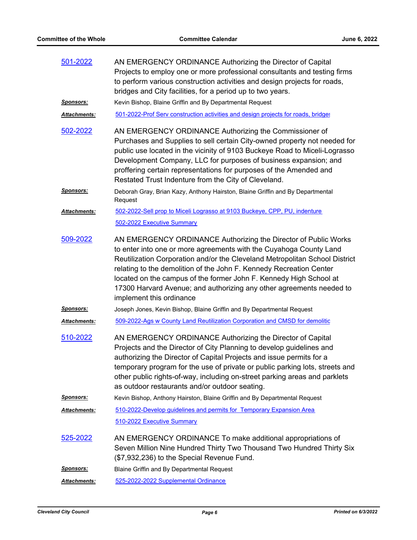| 501-2022         | AN EMERGENCY ORDINANCE Authorizing the Director of Capital<br>Projects to employ one or more professional consultants and testing firms                                                                                                                                                                                                                                                                                                                               |
|------------------|-----------------------------------------------------------------------------------------------------------------------------------------------------------------------------------------------------------------------------------------------------------------------------------------------------------------------------------------------------------------------------------------------------------------------------------------------------------------------|
|                  | to perform various construction activities and design projects for roads,<br>bridges and City facilities, for a period up to two years.                                                                                                                                                                                                                                                                                                                               |
| <b>Sponsors:</b> | Kevin Bishop, Blaine Griffin and By Departmental Request                                                                                                                                                                                                                                                                                                                                                                                                              |
| Attachments:     | 501-2022-Prof Serv construction activities and design projects for roads, bridges                                                                                                                                                                                                                                                                                                                                                                                     |
| 502-2022         | AN EMERGENCY ORDINANCE Authorizing the Commissioner of<br>Purchases and Supplies to sell certain City-owned property not needed for<br>public use located in the vicinity of 9103 Buckeye Road to Miceli-Lograsso<br>Development Company, LLC for purposes of business expansion; and<br>proffering certain representations for purposes of the Amended and<br>Restated Trust Indenture from the City of Cleveland.                                                   |
| <u>Sponsors:</u> | Deborah Gray, Brian Kazy, Anthony Hairston, Blaine Griffin and By Departmental<br>Request                                                                                                                                                                                                                                                                                                                                                                             |
| Attachments:     | 502-2022-Sell prop to Miceli Lograsso at 9103 Buckeye, CPP, PU, indenture<br>502-2022 Executive Summary                                                                                                                                                                                                                                                                                                                                                               |
| 509-2022         | AN EMERGENCY ORDINANCE Authorizing the Director of Public Works<br>to enter into one or more agreements with the Cuyahoga County Land<br>Reutilization Corporation and/or the Cleveland Metropolitan School District<br>relating to the demolition of the John F. Kennedy Recreation Center<br>located on the campus of the former John F. Kennedy High School at<br>17300 Harvard Avenue; and authorizing any other agreements needed to<br>implement this ordinance |
| <u>Sponsors:</u> | Joseph Jones, Kevin Bishop, Blaine Griffin and By Departmental Request                                                                                                                                                                                                                                                                                                                                                                                                |
| Attachments:     | 509-2022-Ags w County Land Reutilization Corporation and CMSD for demolitic                                                                                                                                                                                                                                                                                                                                                                                           |
| 510-2022         | AN EMERGENCY ORDINANCE Authorizing the Director of Capital<br>Projects and the Director of City Planning to develop guidelines and<br>authorizing the Director of Capital Projects and issue permits for a<br>temporary program for the use of private or public parking lots, streets and<br>other public rights-of-way, including on-street parking areas and parklets<br>as outdoor restaurants and/or outdoor seating.                                            |
| <u>Sponsors:</u> | Kevin Bishop, Anthony Hairston, Blaine Griffin and By Departmental Request                                                                                                                                                                                                                                                                                                                                                                                            |
| Attachments:     | 510-2022-Develop guidelines and permits for Temporary Expansion Area<br>510-2022 Executive Summary                                                                                                                                                                                                                                                                                                                                                                    |
| 525-2022         | AN EMERGENCY ORDINANCE To make additional appropriations of<br>Seven Million Nine Hundred Thirty Two Thousand Two Hundred Thirty Six<br>(\$7,932,236) to the Special Revenue Fund.                                                                                                                                                                                                                                                                                    |
| <u>Sponsors:</u> | Blaine Griffin and By Departmental Request                                                                                                                                                                                                                                                                                                                                                                                                                            |
| Attachments:     | 525-2022-2022 Supplemental Ordinance                                                                                                                                                                                                                                                                                                                                                                                                                                  |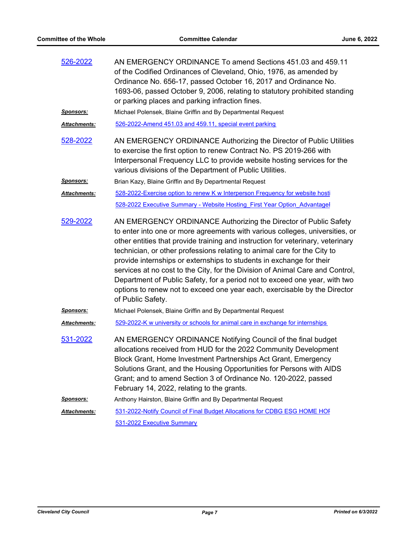| 526-2022            | AN EMERGENCY ORDINANCE To amend Sections 451.03 and 459.11<br>of the Codified Ordinances of Cleveland, Ohio, 1976, as amended by<br>Ordinance No. 656-17, passed October 16, 2017 and Ordinance No.<br>1693-06, passed October 9, 2006, relating to statutory prohibited standing<br>or parking places and parking infraction fines.                                                                                                                                                                                                                                                                                                                     |
|---------------------|----------------------------------------------------------------------------------------------------------------------------------------------------------------------------------------------------------------------------------------------------------------------------------------------------------------------------------------------------------------------------------------------------------------------------------------------------------------------------------------------------------------------------------------------------------------------------------------------------------------------------------------------------------|
| <u>Sponsors:</u>    | Michael Polensek, Blaine Griffin and By Departmental Request                                                                                                                                                                                                                                                                                                                                                                                                                                                                                                                                                                                             |
| <b>Attachments:</b> | 526-2022-Amend 451.03 and 459.11, special event parking                                                                                                                                                                                                                                                                                                                                                                                                                                                                                                                                                                                                  |
| 528-2022            | AN EMERGENCY ORDINANCE Authorizing the Director of Public Utilities<br>to exercise the first option to renew Contract No. PS 2019-266 with<br>Interpersonal Frequency LLC to provide website hosting services for the<br>various divisions of the Department of Public Utilities.                                                                                                                                                                                                                                                                                                                                                                        |
| <u>Sponsors:</u>    | Brian Kazy, Blaine Griffin and By Departmental Request                                                                                                                                                                                                                                                                                                                                                                                                                                                                                                                                                                                                   |
| <b>Attachments:</b> | 528-2022-Exercise option to renew K w Interperson Frequency for website hosti                                                                                                                                                                                                                                                                                                                                                                                                                                                                                                                                                                            |
|                     | 528-2022 Executive Summary - Website Hosting First Year Option Advantagel                                                                                                                                                                                                                                                                                                                                                                                                                                                                                                                                                                                |
| 529-2022            | AN EMERGENCY ORDINANCE Authorizing the Director of Public Safety<br>to enter into one or more agreements with various colleges, universities, or<br>other entities that provide training and instruction for veterinary, veterinary<br>technician, or other professions relating to animal care for the City to<br>provide internships or externships to students in exchange for their<br>services at no cost to the City, for the Division of Animal Care and Control,<br>Department of Public Safety, for a period not to exceed one year, with two<br>options to renew not to exceed one year each, exercisable by the Director<br>of Public Safety. |
| <u>Sponsors:</u>    | Michael Polensek, Blaine Griffin and By Departmental Request                                                                                                                                                                                                                                                                                                                                                                                                                                                                                                                                                                                             |
| Attachments:        | 529-2022-K w university or schools for animal care in exchange for internships                                                                                                                                                                                                                                                                                                                                                                                                                                                                                                                                                                           |
| 531-2022            | AN EMERGENCY ORDINANCE Notifying Council of the final budget<br>allocations received from HUD for the 2022 Community Development<br>Block Grant, Home Investment Partnerships Act Grant, Emergency<br>Solutions Grant, and the Housing Opportunities for Persons with AIDS<br>Grant; and to amend Section 3 of Ordinance No. 120-2022, passed<br>February 14, 2022, relating to the grants.                                                                                                                                                                                                                                                              |
| <u>Sponsors:</u>    | Anthony Hairston, Blaine Griffin and By Departmental Request                                                                                                                                                                                                                                                                                                                                                                                                                                                                                                                                                                                             |
| Attachments:        | 531-2022-Notify Council of Final Budget Allocations for CDBG ESG HOME HOP                                                                                                                                                                                                                                                                                                                                                                                                                                                                                                                                                                                |
|                     | 531-2022 Executive Summary                                                                                                                                                                                                                                                                                                                                                                                                                                                                                                                                                                                                                               |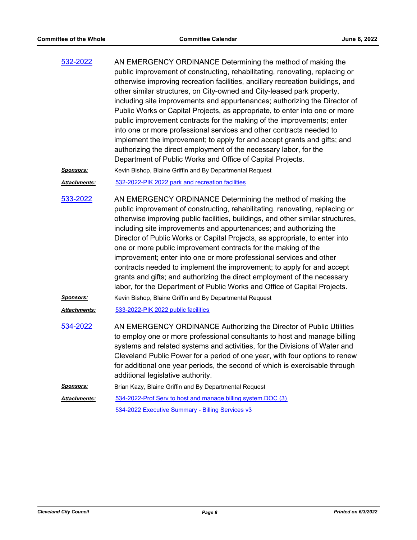AN EMERGENCY ORDINANCE Determining the method of making the public improvement of constructing, rehabilitating, renovating, replacing or otherwise improving recreation facilities, ancillary recreation buildings, and other similar structures, on City-owned and City-leased park property, including site improvements and appurtenances; authorizing the Director of Public Works or Capital Projects, as appropriate, to enter into one or more public improvement contracts for the making of the improvements; enter into one or more professional services and other contracts needed to implement the improvement; to apply for and accept grants and gifts; and authorizing the direct employment of the necessary labor, for the Department of Public Works and Office of Capital Projects. [532-2022](http://cityofcleveland.legistar.com/gateway.aspx?m=l&id=/matter.aspx?key=30423)

*Sponsors:* Kevin Bishop, Blaine Griffin and By Departmental Request

*Attachments:* [532-2022-PIK 2022 park and recreation facilities](http://cityofcleveland.legistar.com/gateway.aspx?M=F&ID=1507ea93-5c2d-4437-9347-a103f97def3f.doc)

AN EMERGENCY ORDINANCE Determining the method of making the public improvement of constructing, rehabilitating, renovating, replacing or otherwise improving public facilities, buildings, and other similar structures, including site improvements and appurtenances; and authorizing the Director of Public Works or Capital Projects, as appropriate, to enter into one or more public improvement contracts for the making of the improvement; enter into one or more professional services and other contracts needed to implement the improvement; to apply for and accept grants and gifts; and authorizing the direct employment of the necessary labor, for the Department of Public Works and Office of Capital Projects. [533-2022](http://cityofcleveland.legistar.com/gateway.aspx?m=l&id=/matter.aspx?key=30424)

*Sponsors:* Kevin Bishop, Blaine Griffin and By Departmental Request

- *Attachments:* [533-2022-PIK 2022 public facilities](http://cityofcleveland.legistar.com/gateway.aspx?M=F&ID=8cdaf63d-4a59-4dee-a8d7-0f5f1060be51.DOC)
- AN EMERGENCY ORDINANCE Authorizing the Director of Public Utilities to employ one or more professional consultants to host and manage billing systems and related systems and activities, for the Divisions of Water and Cleveland Public Power for a period of one year, with four options to renew for additional one year periods, the second of which is exercisable through additional legislative authority. [534-2022](http://cityofcleveland.legistar.com/gateway.aspx?m=l&id=/matter.aspx?key=30425)
- **Sponsors:** Brian Kazy, Blaine Griffin and By Departmental Request
- [534-2022-Prof Serv to host and manage billing system.DOC \(3\)](http://cityofcleveland.legistar.com/gateway.aspx?M=F&ID=7405af1a-61f9-4c3e-aa6e-e89cfe35d6ea.doc) [534-2022 Executive Summary - Billing Services v3](http://cityofcleveland.legistar.com/gateway.aspx?M=F&ID=e3e48b8b-476d-43f9-ad51-c2ac3eb22283.pdf) *Attachments:*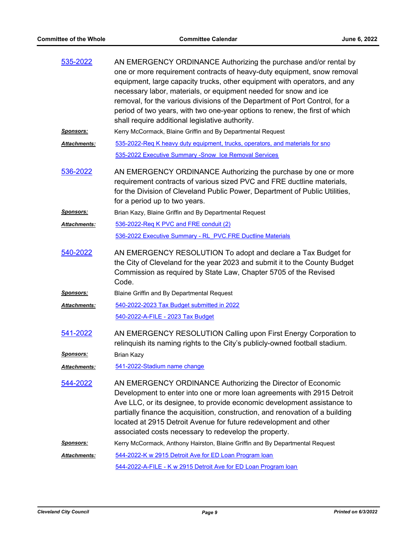| 535-2022             | AN EMERGENCY ORDINANCE Authorizing the purchase and/or rental by<br>one or more requirement contracts of heavy-duty equipment, snow removal<br>equipment, large capacity trucks, other equipment with operators, and any<br>necessary labor, materials, or equipment needed for snow and ice<br>removal, for the various divisions of the Department of Port Control, for a<br>period of two years, with two one-year options to renew, the first of which<br>shall require additional legislative authority. |
|----------------------|---------------------------------------------------------------------------------------------------------------------------------------------------------------------------------------------------------------------------------------------------------------------------------------------------------------------------------------------------------------------------------------------------------------------------------------------------------------------------------------------------------------|
| <u>Sponsors:</u>     | Kerry McCormack, Blaine Griffin and By Departmental Request                                                                                                                                                                                                                                                                                                                                                                                                                                                   |
| <b>Attachments:</b>  | 535-2022-Req K heavy duty equipment, trucks, operators, and materials for sno                                                                                                                                                                                                                                                                                                                                                                                                                                 |
|                      | 535-2022 Executive Summary - Snow Ice Removal Services                                                                                                                                                                                                                                                                                                                                                                                                                                                        |
| 536-2022             | AN EMERGENCY ORDINANCE Authorizing the purchase by one or more<br>requirement contracts of various sized PVC and FRE ductline materials,<br>for the Division of Cleveland Public Power, Department of Public Utilities,<br>for a period up to two years.                                                                                                                                                                                                                                                      |
| <u>Sponsors:</u>     | Brian Kazy, Blaine Griffin and By Departmental Request                                                                                                                                                                                                                                                                                                                                                                                                                                                        |
| <u> Attachments:</u> | 536-2022-Req K PVC and FRE conduit (2)                                                                                                                                                                                                                                                                                                                                                                                                                                                                        |
|                      | 536-2022 Executive Summary - RL PVC.FRE Ductline Materials                                                                                                                                                                                                                                                                                                                                                                                                                                                    |
| 540-2022             | AN EMERGENCY RESOLUTION To adopt and declare a Tax Budget for<br>the City of Cleveland for the year 2023 and submit it to the County Budget<br>Commission as required by State Law, Chapter 5705 of the Revised<br>Code.                                                                                                                                                                                                                                                                                      |
| <u>Sponsors:</u>     | Blaine Griffin and By Departmental Request                                                                                                                                                                                                                                                                                                                                                                                                                                                                    |
| <b>Attachments:</b>  | 540-2022-2023 Tax Budget submitted in 2022                                                                                                                                                                                                                                                                                                                                                                                                                                                                    |
|                      | 540-2022-A-FILE - 2023 Tax Budget                                                                                                                                                                                                                                                                                                                                                                                                                                                                             |
| 541-2022             | AN EMERGENCY RESOLUTION Calling upon First Energy Corporation to<br>relinquish its naming rights to the City's publicly-owned football stadium.                                                                                                                                                                                                                                                                                                                                                               |
| <u>Sponsors:</u>     | <b>Brian Kazy</b>                                                                                                                                                                                                                                                                                                                                                                                                                                                                                             |
| <b>Attachments:</b>  | 541-2022-Stadium name change                                                                                                                                                                                                                                                                                                                                                                                                                                                                                  |
| <u>544-2022</u>      | AN EMERGENCY ORDINANCE Authorizing the Director of Economic<br>Development to enter into one or more loan agreements with 2915 Detroit<br>Ave LLC, or its designee, to provide economic development assistance to<br>partially finance the acquisition, construction, and renovation of a building<br>located at 2915 Detroit Avenue for future redevelopment and other<br>associated costs necessary to redevelop the property.                                                                              |
| <u>Sponsors:</u>     | Kerry McCormack, Anthony Hairston, Blaine Griffin and By Departmental Request                                                                                                                                                                                                                                                                                                                                                                                                                                 |
| <u> Attachments:</u> | 544-2022-K w 2915 Detroit Ave for ED Loan Program Ioan                                                                                                                                                                                                                                                                                                                                                                                                                                                        |
|                      | 544-2022-A-FILE - K w 2915 Detroit Ave for ED Loan Program loan                                                                                                                                                                                                                                                                                                                                                                                                                                               |